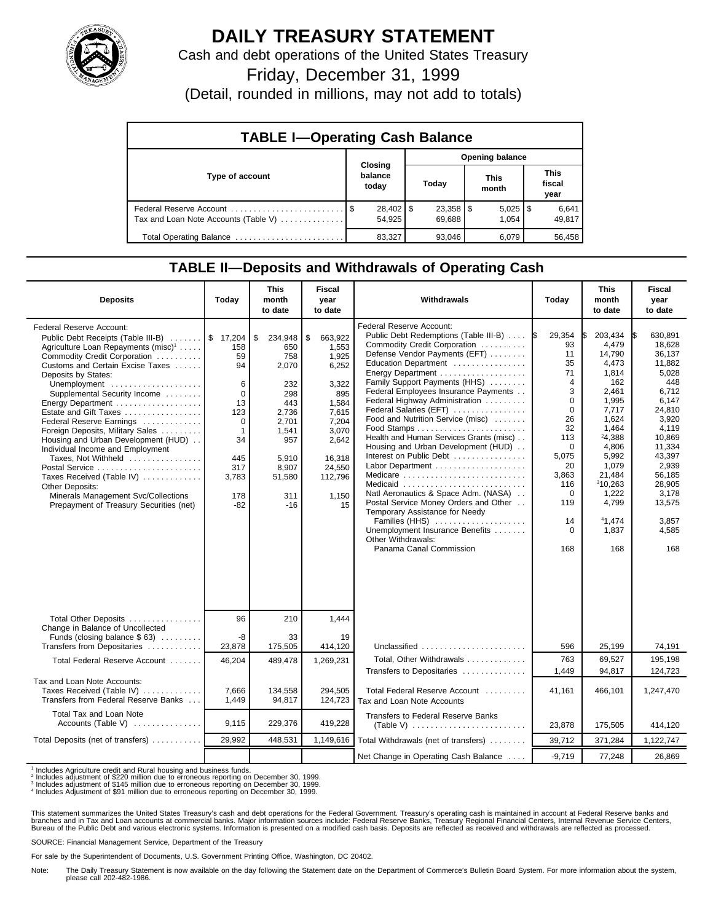

## **DAILY TREASURY STATEMENT**

Cash and debt operations of the United States Treasury

Friday, December 31, 1999

(Detail, rounded in millions, may not add to totals)

| <b>TABLE I-Operating Cash Balance</b> |                             |                        |                       |                               |  |  |  |  |
|---------------------------------------|-----------------------------|------------------------|-----------------------|-------------------------------|--|--|--|--|
|                                       |                             | <b>Opening balance</b> |                       |                               |  |  |  |  |
| Type of account                       | Closing<br>balance<br>today | Today                  | <b>This</b><br>month  | <b>This</b><br>fiscal<br>year |  |  |  |  |
| Tax and Loan Note Accounts (Table V)  | 54.925                      | 69.688                 | $5,025$   \$<br>1.054 | 6,641<br>49,817               |  |  |  |  |
| Total Operating Balance               | 83,327                      | 93,046                 | 6.079                 | 56,458                        |  |  |  |  |

## **TABLE II—Deposits and Withdrawals of Operating Cash**

| <b>Deposits</b>                                                                                                                                                                                                                                                                                                                                                                                                                                                                                                                                                                                                    | Today                                                                                                                         | <b>This</b><br>month<br>to date                                                                                                         | <b>Fiscal</b><br>year<br>to date                                                                                                                    | Withdrawals                                                                                                                                                                                                                                                                                                                                                                                                                                                                                                                                                                                                                                                                                        | Today                                                                                                                                                                                   | <b>This</b><br>month<br>to date                                                                                                                                                                        | <b>Fiscal</b><br>year<br>to date                                                                                                                                                                                  |
|--------------------------------------------------------------------------------------------------------------------------------------------------------------------------------------------------------------------------------------------------------------------------------------------------------------------------------------------------------------------------------------------------------------------------------------------------------------------------------------------------------------------------------------------------------------------------------------------------------------------|-------------------------------------------------------------------------------------------------------------------------------|-----------------------------------------------------------------------------------------------------------------------------------------|-----------------------------------------------------------------------------------------------------------------------------------------------------|----------------------------------------------------------------------------------------------------------------------------------------------------------------------------------------------------------------------------------------------------------------------------------------------------------------------------------------------------------------------------------------------------------------------------------------------------------------------------------------------------------------------------------------------------------------------------------------------------------------------------------------------------------------------------------------------------|-----------------------------------------------------------------------------------------------------------------------------------------------------------------------------------------|--------------------------------------------------------------------------------------------------------------------------------------------------------------------------------------------------------|-------------------------------------------------------------------------------------------------------------------------------------------------------------------------------------------------------------------|
| <b>Federal Reserve Account:</b><br>Public Debt Receipts (Table III-B)<br>Agriculture Loan Repayments (misc) <sup>1</sup><br>Commodity Credit Corporation<br>Customs and Certain Excise Taxes<br>Deposits by States:<br>Unemployment<br>Supplemental Security Income<br>Estate and Gift Taxes<br>Federal Reserve Earnings<br>Foreign Deposits, Military Sales<br>Housing and Urban Development (HUD)<br>Individual Income and Employment<br>Taxes, Not Withheld<br>Postal Service<br>Taxes Received (Table IV)<br>Other Deposits:<br>Minerals Management Svc/Collections<br>Prepayment of Treasury Securities (net) | \$17,204<br>158<br>59<br>94<br>6<br>$\Omega$<br>13<br>123<br>0<br>$\overline{1}$<br>34<br>445<br>317<br>3,783<br>178<br>$-82$ | \$<br>234,948<br>650<br>758<br>2,070<br>232<br>298<br>443<br>2,736<br>2,701<br>1,541<br>957<br>5,910<br>8,907<br>51,580<br>311<br>$-16$ | \$<br>663,922<br>1,553<br>1,925<br>6,252<br>3,322<br>895<br>1.584<br>7,615<br>7,204<br>3,070<br>2,642<br>16,318<br>24,550<br>112.796<br>1,150<br>15 | Federal Reserve Account:<br>Public Debt Redemptions (Table III-B)<br>Commodity Credit Corporation<br>Defense Vendor Payments (EFT)<br>Education Department<br>Family Support Payments (HHS)<br>Federal Employees Insurance Payments<br>Federal Highway Administration<br>Federal Salaries (EFT)<br>Food and Nutrition Service (misc)<br>Health and Human Services Grants (misc)<br>Housing and Urban Development (HUD)<br>Interest on Public Debt<br>Medicare<br>Medicaid<br>Natl Aeronautics & Space Adm. (NASA)<br>Postal Service Money Orders and Other<br>Temporary Assistance for Needy<br>Families (HHS)<br>Unemployment Insurance Benefits<br>Other Withdrawals:<br>Panama Canal Commission | 29,354<br><b>IS</b><br>93<br>11<br>35<br>71<br>4<br>3<br>$\Omega$<br>$\Omega$<br>26<br>32<br>113<br>$\Omega$<br>5,075<br>20<br>3,863<br>116<br>$\Omega$<br>119<br>14<br>$\Omega$<br>168 | 203,434<br>4.479<br>14,790<br>4,473<br>1,814<br>162<br>2,461<br>1,995<br>7,717<br>1.624<br>1,464<br>24,388<br>4,806<br>5,992<br>1,079<br>21,484<br>310,263<br>1.222<br>4,799<br>41,474<br>1,837<br>168 | I\$<br>630.891<br>18.628<br>36,137<br>11,882<br>5,028<br>448<br>6,712<br>6,147<br>24.810<br>3.920<br>4,119<br>10,869<br>11,334<br>43,397<br>2.939<br>56,185<br>28,905<br>3.178<br>13,575<br>3,857<br>4,585<br>168 |
| Total Other Deposits<br>Change in Balance of Uncollected                                                                                                                                                                                                                                                                                                                                                                                                                                                                                                                                                           | 96                                                                                                                            | 210                                                                                                                                     | 1.444                                                                                                                                               |                                                                                                                                                                                                                                                                                                                                                                                                                                                                                                                                                                                                                                                                                                    |                                                                                                                                                                                         |                                                                                                                                                                                                        |                                                                                                                                                                                                                   |
| Funds (closing balance \$63)<br>Transfers from Depositaries                                                                                                                                                                                                                                                                                                                                                                                                                                                                                                                                                        | -8<br>23,878                                                                                                                  | 33<br>175,505                                                                                                                           | 19<br>414,120                                                                                                                                       | Unclassified                                                                                                                                                                                                                                                                                                                                                                                                                                                                                                                                                                                                                                                                                       | 596                                                                                                                                                                                     | 25,199                                                                                                                                                                                                 | 74,191                                                                                                                                                                                                            |
| Total Federal Reserve Account                                                                                                                                                                                                                                                                                                                                                                                                                                                                                                                                                                                      | 46,204                                                                                                                        | 489,478                                                                                                                                 | 1,269,231                                                                                                                                           | Total, Other Withdrawals                                                                                                                                                                                                                                                                                                                                                                                                                                                                                                                                                                                                                                                                           | 763                                                                                                                                                                                     | 69,527                                                                                                                                                                                                 | 195,198                                                                                                                                                                                                           |
| Tax and Loan Note Accounts:<br>Taxes Received (Table IV)<br>Transfers from Federal Reserve Banks                                                                                                                                                                                                                                                                                                                                                                                                                                                                                                                   | 7,666<br>1,449                                                                                                                | 134,558<br>94,817                                                                                                                       | 294,505<br>124,723                                                                                                                                  | Transfers to Depositaries<br>Total Federal Reserve Account<br>Tax and Loan Note Accounts                                                                                                                                                                                                                                                                                                                                                                                                                                                                                                                                                                                                           | 1.449<br>41,161                                                                                                                                                                         | 94,817<br>466,101                                                                                                                                                                                      | 124,723<br>1,247,470                                                                                                                                                                                              |
| Total Tax and Loan Note<br>Accounts (Table V) $\ldots$                                                                                                                                                                                                                                                                                                                                                                                                                                                                                                                                                             | 9,115                                                                                                                         | 229,376                                                                                                                                 | 419,228                                                                                                                                             | Transfers to Federal Reserve Banks                                                                                                                                                                                                                                                                                                                                                                                                                                                                                                                                                                                                                                                                 | 23,878                                                                                                                                                                                  | 175,505                                                                                                                                                                                                | 414,120                                                                                                                                                                                                           |
| Total Deposits (net of transfers)                                                                                                                                                                                                                                                                                                                                                                                                                                                                                                                                                                                  | 29,992                                                                                                                        | 448,531                                                                                                                                 | 1,149,616                                                                                                                                           | Total Withdrawals (net of transfers)                                                                                                                                                                                                                                                                                                                                                                                                                                                                                                                                                                                                                                                               | 39,712                                                                                                                                                                                  | 371,284                                                                                                                                                                                                | 1,122,747                                                                                                                                                                                                         |
|                                                                                                                                                                                                                                                                                                                                                                                                                                                                                                                                                                                                                    |                                                                                                                               |                                                                                                                                         |                                                                                                                                                     | Net Change in Operating Cash Balance                                                                                                                                                                                                                                                                                                                                                                                                                                                                                                                                                                                                                                                               | $-9,719$                                                                                                                                                                                | 77,248                                                                                                                                                                                                 | 26,869                                                                                                                                                                                                            |

<sup>1</sup> Includes Agriculture credit and Rural housing and business funds.<br><sup>2</sup> Includes adjustment of \$220 million due to erroneous reporting on December 30, 1999.<br><sup>3</sup> Includes adjustment of \$145 million due to erroneous report

This statement summarizes the United States Treasury's cash and debt operations for the Federal Government. Treasury's operating cash is maintained in account at Federal Reserve banks and<br>branches and in Tax and Loan accou

SOURCE: Financial Management Service, Department of the Treasury

For sale by the Superintendent of Documents, U.S. Government Printing Office, Washington, DC 20402.

Note: The Daily Treasury Statement is now available on the day following the Statement date on the Department of Commerce's Bulletin Board System. For more information about the system, please call 202-482-1986.